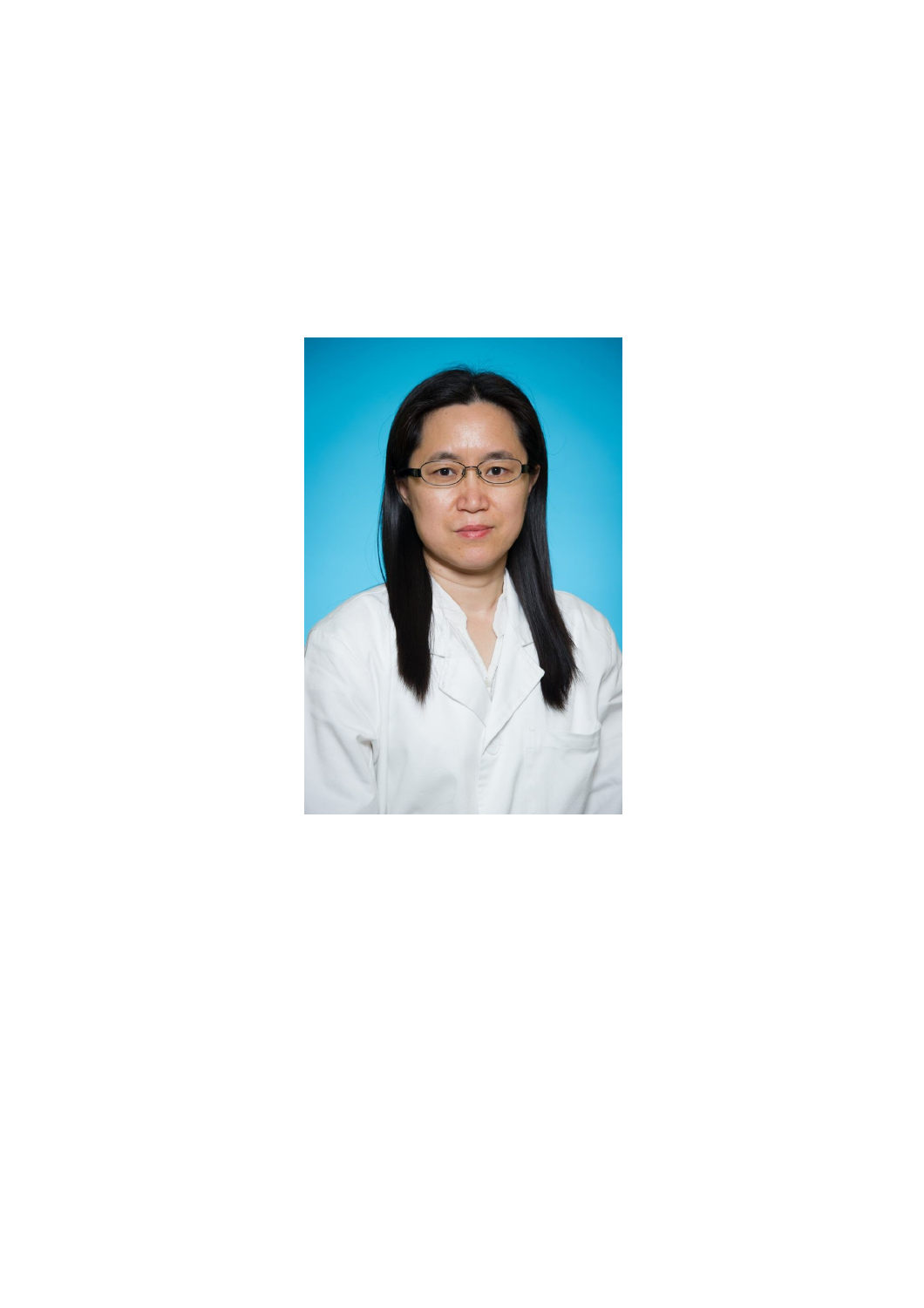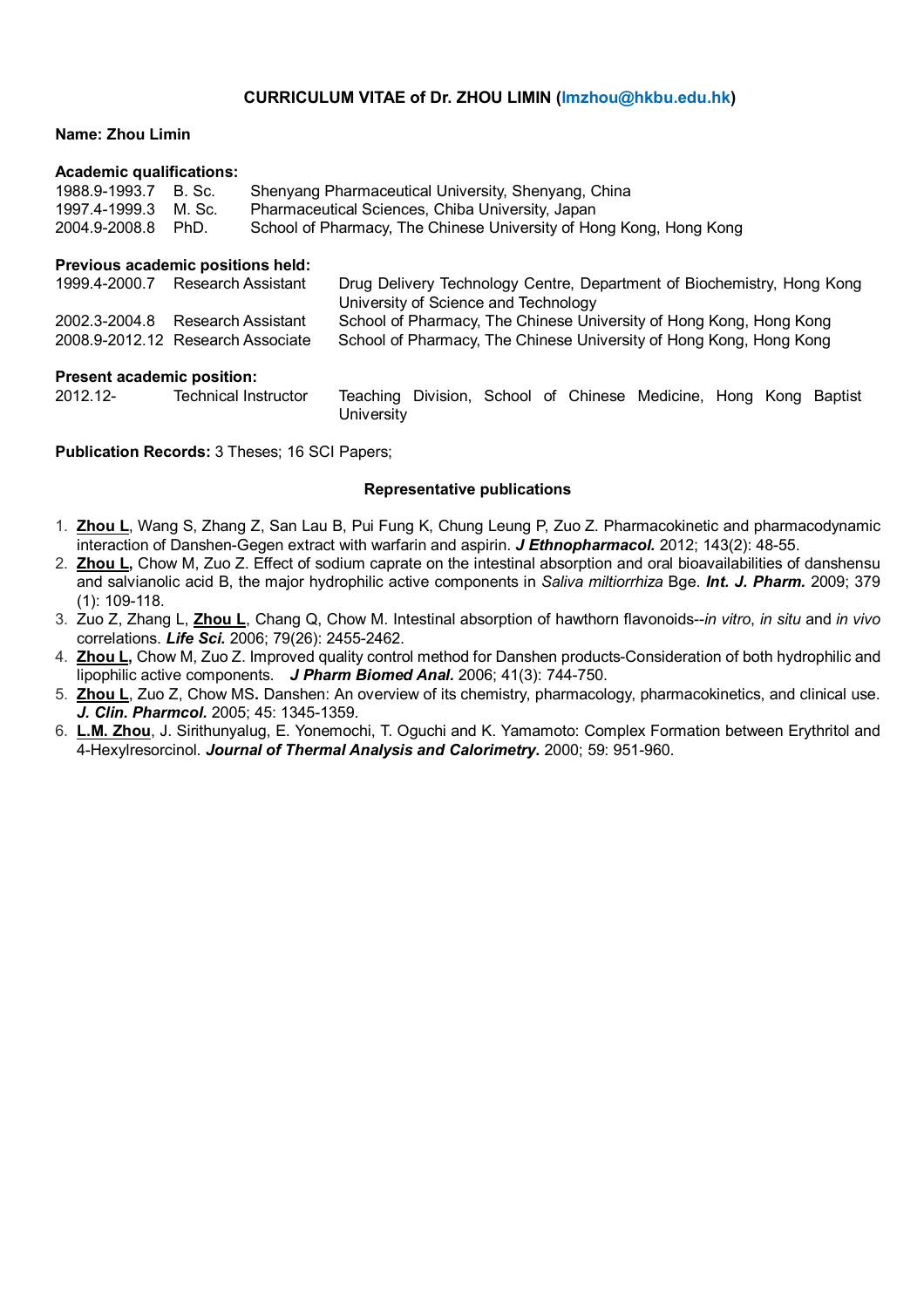# **CURRICULUM VITAE of Dr. ZHOU LIMIN (lmzhou@hkbu.edu.hk)**

## **Name: Zhou Limin**

## **Academic qualifications:**

1988.9-1993.7 B. Sc. Shenyang Pharmaceutical University, Shenyang, China 1997.4-1999.3 M. Sc. Pharmaceutical Sciences, Chiba University, Japan 2004.9-2008.8 PhD. School of Pharmacy, The Chinese University of Hong Kong, Hong Kong

### **Previous academic positions held:**

| 1999.4-2000.7 | Research Assistant                | Drug Delivery Technology Centre, Department of Biochemistry, Hong Kong |
|---------------|-----------------------------------|------------------------------------------------------------------------|
|               |                                   | University of Science and Technology                                   |
|               | 2002.3-2004.8 Research Assistant  | School of Pharmacy, The Chinese University of Hong Kong, Hong Kong     |
|               | 2008.9-2012.12 Research Associate | School of Pharmacy, The Chinese University of Hong Kong, Hong Kong     |

## **Present academic position:**

| 2012.12- | Technical Instructor |            |  |  | Teaching Division, School of Chinese Medicine, Hong Kong Baptist |  |  |
|----------|----------------------|------------|--|--|------------------------------------------------------------------|--|--|
|          |                      | University |  |  |                                                                  |  |  |

## **Publication Records:** 3 Theses; 16 SCI Papers;

#### **Representative publications**

- 1. **Zhou L**, Wang S, Zhang Z, San Lau B, Pui Fung K, Chung Leung P, Zuo Z. Pharmacokinetic and pharmacodynamic interaction of Danshen-Gegen extract with warfarin and aspirin. *J Ethnopharmacol.* 2012; 143(2): 48-55.
- 2. **Zhou L,** Chow M, Zuo Z. Effect of sodium caprate on the intestinal absorption and oral bioavailabilities of danshensu and salvianolic acid B, the major hydrophilic active components in *Saliva miltiorrhiza* Bge. *Int. J. Pharm.* 2009; 379 (1): 109-118.
- 3. Zuo Z, Zhang L, **Zhou L**, Chang Q, Chow M. Intestinal absorption of hawthorn flavonoids--*in vitro*, *in situ* and *in vivo* correlations. *Life Sci.* 2006; 79(26): 2455-2462.
- 4. **Zhou L,** Chow M, Zuo Z. Improved quality control method for Danshen products-Consideration of both hydrophilic and lipophilic active components. *J Pharm Biomed Anal.* 2006; 41(3): 744-750.
- 5. **Zhou L**, Zuo Z, Chow MS**.** Danshen: An overview of its chemistry, pharmacology, pharmacokinetics, and clinical use. *J. Clin. Pharmcol.* 2005; 45: 1345-1359.
- 6. **L.M. Zhou**, J. Sirithunyalug, E. Yonemochi, T. Oguchi and K. Yamamoto: Complex Formation between Erythritol and 4-Hexylresorcinol. *Journal of Thermal Analysis and Calorimetry***.** 2000; 59: 951-960.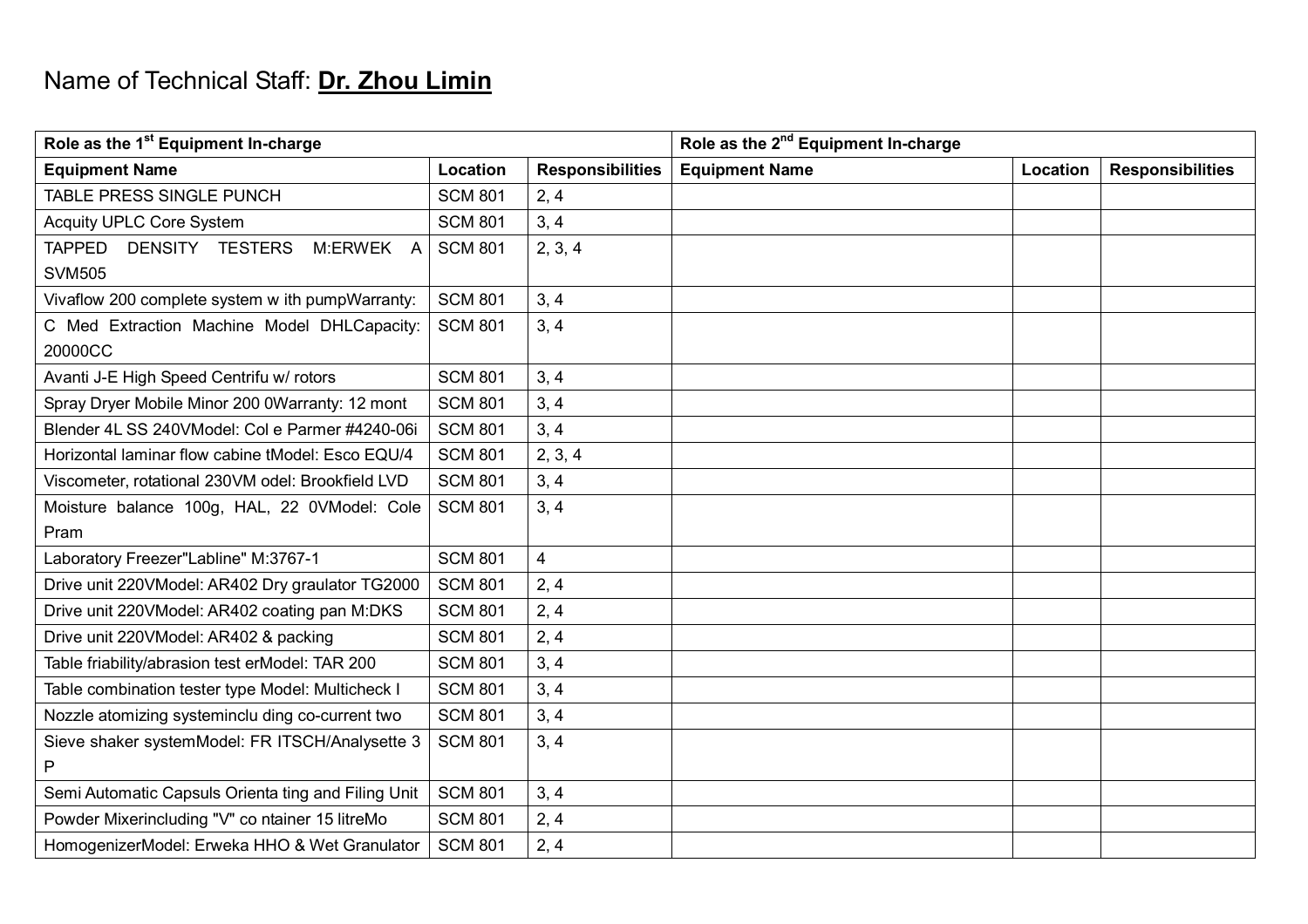| Role as the 1 <sup>st</sup> Equipment In-charge     |                |                         | Role as the 2 <sup>nd</sup> Equipment In-charge |          |                         |  |
|-----------------------------------------------------|----------------|-------------------------|-------------------------------------------------|----------|-------------------------|--|
| <b>Equipment Name</b>                               | Location       | <b>Responsibilities</b> | <b>Equipment Name</b>                           | Location | <b>Responsibilities</b> |  |
| TABLE PRESS SINGLE PUNCH                            | <b>SCM 801</b> | 2, 4                    |                                                 |          |                         |  |
| Acquity UPLC Core System                            | <b>SCM 801</b> | 3, 4                    |                                                 |          |                         |  |
| <b>TAPPED</b><br>DENSITY TESTERS<br>M:ERWEK A       | <b>SCM 801</b> | 2, 3, 4                 |                                                 |          |                         |  |
| <b>SVM505</b>                                       |                |                         |                                                 |          |                         |  |
| Vivaflow 200 complete system w ith pumpWarranty:    | <b>SCM 801</b> | 3, 4                    |                                                 |          |                         |  |
| C Med Extraction Machine Model DHLCapacity:         | <b>SCM 801</b> | 3, 4                    |                                                 |          |                         |  |
| 20000CC                                             |                |                         |                                                 |          |                         |  |
| Avanti J-E High Speed Centrifu w/ rotors            | <b>SCM 801</b> | 3, 4                    |                                                 |          |                         |  |
| Spray Dryer Mobile Minor 200 0Warranty: 12 mont     | <b>SCM 801</b> | 3, 4                    |                                                 |          |                         |  |
| Blender 4L SS 240VModel: Col e Parmer #4240-06i     | <b>SCM 801</b> | 3, 4                    |                                                 |          |                         |  |
| Horizontal laminar flow cabine tModel: Esco EQU/4   | <b>SCM 801</b> | 2, 3, 4                 |                                                 |          |                         |  |
| Viscometer, rotational 230VM odel: Brookfield LVD   | <b>SCM 801</b> | 3, 4                    |                                                 |          |                         |  |
| Moisture balance 100g, HAL, 22 0VModel: Cole        | <b>SCM 801</b> | 3, 4                    |                                                 |          |                         |  |
| Pram                                                |                |                         |                                                 |          |                         |  |
| Laboratory Freezer"Labline" M:3767-1                | <b>SCM 801</b> | 4                       |                                                 |          |                         |  |
| Drive unit 220VModel: AR402 Dry graulator TG2000    | <b>SCM 801</b> | 2, 4                    |                                                 |          |                         |  |
| Drive unit 220VModel: AR402 coating pan M:DKS       | <b>SCM 801</b> | 2, 4                    |                                                 |          |                         |  |
| Drive unit 220VModel: AR402 & packing               | <b>SCM 801</b> | 2, 4                    |                                                 |          |                         |  |
| Table friability/abrasion test erModel: TAR 200     | <b>SCM 801</b> | 3, 4                    |                                                 |          |                         |  |
| Table combination tester type Model: Multicheck I   | <b>SCM 801</b> | 3, 4                    |                                                 |          |                         |  |
| Nozzle atomizing systeminclu ding co-current two    | <b>SCM 801</b> | 3, 4                    |                                                 |          |                         |  |
| Sieve shaker systemModel: FR ITSCH/Analysette 3     | <b>SCM 801</b> | 3, 4                    |                                                 |          |                         |  |
|                                                     |                |                         |                                                 |          |                         |  |
| Semi Automatic Capsuls Orienta ting and Filing Unit | <b>SCM 801</b> | 3, 4                    |                                                 |          |                         |  |
| Powder Mixerincluding "V" co ntainer 15 litreMo     | <b>SCM 801</b> | 2, 4                    |                                                 |          |                         |  |
| HomogenizerModel: Erweka HHO & Wet Granulator       | <b>SCM 801</b> | 2, 4                    |                                                 |          |                         |  |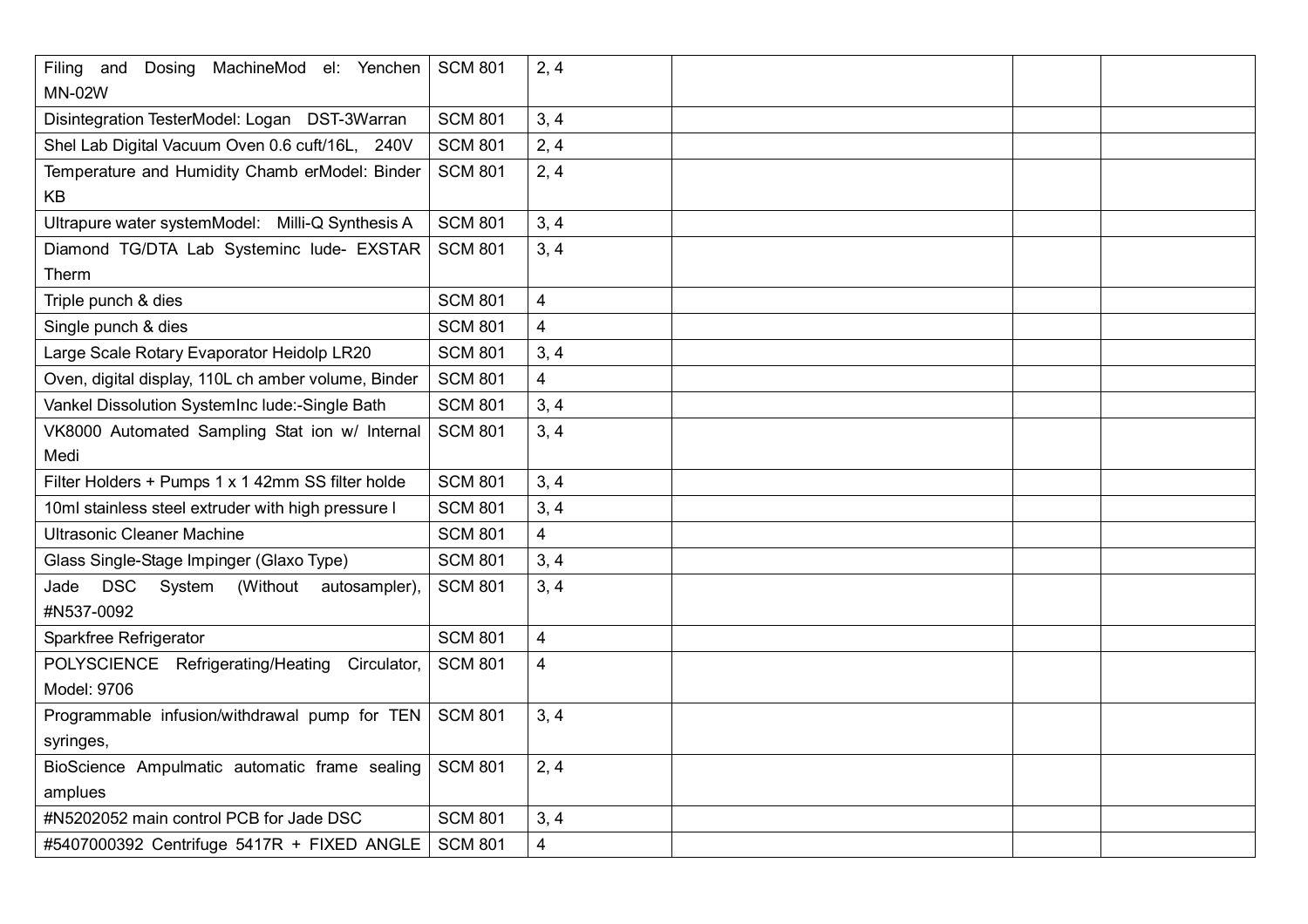| Dosing MachineMod el: Yenchen<br>Filing and         | <b>SCM 801</b> | 2, 4                    |  |  |
|-----------------------------------------------------|----------------|-------------------------|--|--|
| <b>MN-02W</b>                                       |                |                         |  |  |
| Disintegration TesterModel: Logan DST-3Warran       | <b>SCM 801</b> | 3, 4                    |  |  |
| Shel Lab Digital Vacuum Oven 0.6 cuft/16L, 240V     | <b>SCM 801</b> | 2, 4                    |  |  |
| Temperature and Humidity Chamb erModel: Binder      | <b>SCM 801</b> | 2, 4                    |  |  |
| KB                                                  |                |                         |  |  |
| Ultrapure water systemModel: Milli-Q Synthesis A    | <b>SCM 801</b> | 3, 4                    |  |  |
| Diamond TG/DTA Lab Systeminc lude- EXSTAR           | <b>SCM 801</b> | 3, 4                    |  |  |
| Therm                                               |                |                         |  |  |
| Triple punch & dies                                 | <b>SCM 801</b> | $\overline{4}$          |  |  |
| Single punch & dies                                 | <b>SCM 801</b> | $\overline{4}$          |  |  |
| Large Scale Rotary Evaporator Heidolp LR20          | <b>SCM 801</b> | 3, 4                    |  |  |
| Oven, digital display, 110L ch amber volume, Binder | <b>SCM 801</b> | $\overline{4}$          |  |  |
| Vankel Dissolution SystemInc lude:-Single Bath      | <b>SCM 801</b> | 3, 4                    |  |  |
| VK8000 Automated Sampling Stat ion w/ Internal      | <b>SCM 801</b> | 3, 4                    |  |  |
| Medi                                                |                |                         |  |  |
| Filter Holders + Pumps 1 x 1 42mm SS filter holde   | <b>SCM 801</b> | 3, 4                    |  |  |
| 10ml stainless steel extruder with high pressure I  | <b>SCM 801</b> | 3, 4                    |  |  |
| <b>Ultrasonic Cleaner Machine</b>                   | <b>SCM 801</b> | $\overline{4}$          |  |  |
| Glass Single-Stage Impinger (Glaxo Type)            | <b>SCM 801</b> | 3, 4                    |  |  |
| <b>DSC</b><br>System (Without autosampler),<br>Jade | <b>SCM 801</b> | 3, 4                    |  |  |
| #N537-0092                                          |                |                         |  |  |
| Sparkfree Refrigerator                              | <b>SCM 801</b> | $\overline{\mathbf{4}}$ |  |  |
| POLYSCIENCE Refrigerating/Heating Circulator,       | <b>SCM 801</b> | $\overline{4}$          |  |  |
| Model: 9706                                         |                |                         |  |  |
| Programmable infusion/withdrawal pump for TEN       | <b>SCM 801</b> | 3, 4                    |  |  |
| syringes,                                           |                |                         |  |  |
| BioScience Ampulmatic automatic frame sealing       | <b>SCM 801</b> | 2, 4                    |  |  |
| amplues                                             |                |                         |  |  |
| #N5202052 main control PCB for Jade DSC             | <b>SCM 801</b> | 3, 4                    |  |  |
| #5407000392 Centrifuge 5417R + FIXED ANGLE          | <b>SCM 801</b> | 4                       |  |  |